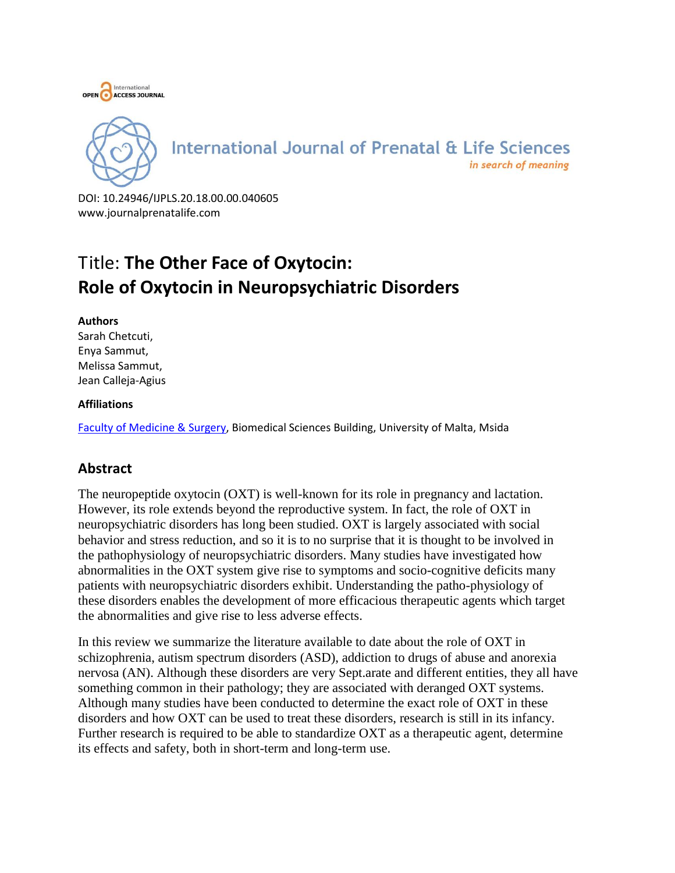



DOI: 10.24946/IJPLS.20.18.00.00.040605 www.journalprenatalife.com

# Title: **The Other Face of Oxytocin: Role of Oxytocin in Neuropsychiatric Disorders**

#### **Authors**

Sarah Chetcuti, Enya Sammut, Melissa Sammut, Jean Calleja-Agius

#### **Affiliations**

[Faculty of Medicine & Surgery,](https://www.um.edu.mt/ms) Biomedical Sciences Building, University of Malta, Msida

# **Abstract**

The neuropeptide oxytocin (OXT) is well-known for its role in pregnancy and lactation. However, its role extends beyond the reproductive system. In fact, the role of OXT in neuropsychiatric disorders has long been studied. OXT is largely associated with social behavior and stress reduction, and so it is to no surprise that it is thought to be involved in the pathophysiology of neuropsychiatric disorders. Many studies have investigated how abnormalities in the OXT system give rise to symptoms and socio-cognitive deficits many patients with neuropsychiatric disorders exhibit. Understanding the patho-physiology of these disorders enables the development of more efficacious therapeutic agents which target the abnormalities and give rise to less adverse effects.

In this review we summarize the literature available to date about the role of OXT in schizophrenia, autism spectrum disorders (ASD), addiction to drugs of abuse and anorexia nervosa (AN). Although these disorders are very Sept.arate and different entities, they all have something common in their pathology; they are associated with deranged OXT systems. Although many studies have been conducted to determine the exact role of OXT in these disorders and how OXT can be used to treat these disorders, research is still in its infancy. Further research is required to be able to standardize OXT as a therapeutic agent, determine its effects and safety, both in short-term and long-term use.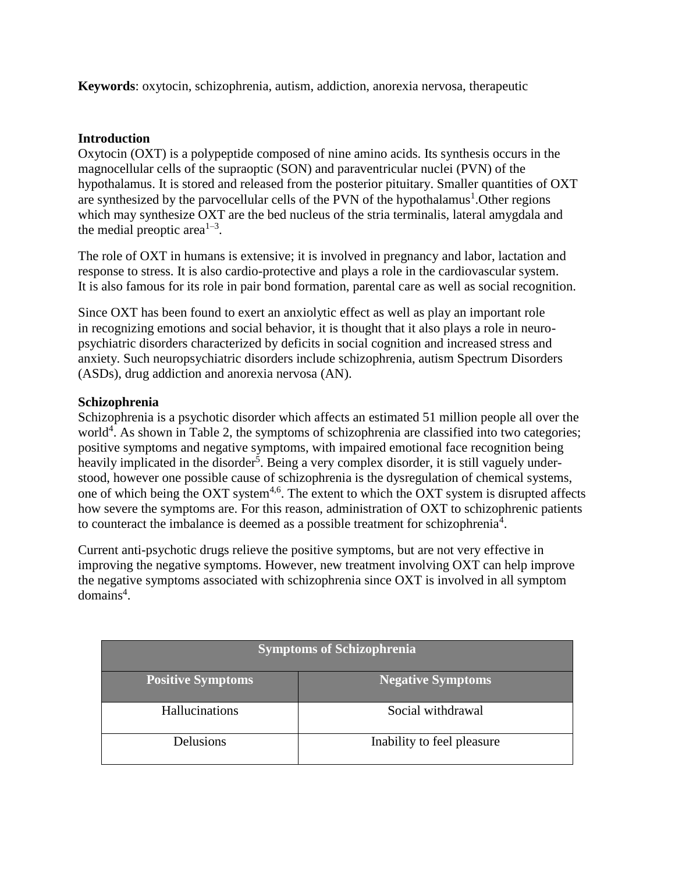**Keywords**: oxytocin, schizophrenia, autism, addiction, anorexia nervosa, therapeutic

#### **Introduction**

Oxytocin (OXT) is a polypeptide composed of nine amino acids. Its synthesis occurs in the magnocellular cells of the supraoptic (SON) and paraventricular nuclei (PVN) of the hypothalamus. It is stored and released from the posterior pituitary. Smaller quantities of OXT are synthesized by the parvocellular cells of the PVN of the hypothalamus<sup>1</sup>. Other regions which may synthesize OXT are the bed nucleus of the stria terminalis, lateral amygdala and the medial preoptic area<sup> $1-3$ </sup>.

The role of OXT in humans is extensive; it is involved in pregnancy and labor, lactation and response to stress. It is also cardio-protective and plays a role in the cardiovascular system. It is also famous for its role in pair bond formation, parental care as well as social recognition.

Since OXT has been found to exert an anxiolytic effect as well as play an important role in recognizing emotions and social behavior, it is thought that it also plays a role in neuropsychiatric disorders characterized by deficits in social cognition and increased stress and anxiety. Such neuropsychiatric disorders include schizophrenia, autism Spectrum Disorders (ASDs), drug addiction and anorexia nervosa (AN).

#### **Schizophrenia**

Schizophrenia is a psychotic disorder which affects an estimated 51 million people all over the world<sup>4</sup>. As shown in Table 2, the symptoms of schizophrenia are classified into two categories; positive symptoms and negative symptoms, with impaired emotional face recognition being heavily implicated in the disorder<sup>5</sup>. Being a very complex disorder, it is still vaguely understood, however one possible cause of schizophrenia is the dysregulation of chemical systems, one of which being the OXT system<sup>4,6</sup>. The extent to which the OXT system is disrupted affects how severe the symptoms are. For this reason, administration of OXT to schizophrenic patients to counteract the imbalance is deemed as a possible treatment for schizophrenia<sup>4</sup>.

Current anti-psychotic drugs relieve the positive symptoms, but are not very effective in improving the negative symptoms. However, new treatment involving OXT can help improve the negative symptoms associated with schizophrenia since OXT is involved in all symptom  $domains<sup>4</sup>$ .

| <b>Symptoms of Schizophrenia</b> |                            |
|----------------------------------|----------------------------|
| <b>Positive Symptoms</b>         | <b>Negative Symptoms</b>   |
| Hallucinations                   | Social withdrawal          |
| Delusions                        | Inability to feel pleasure |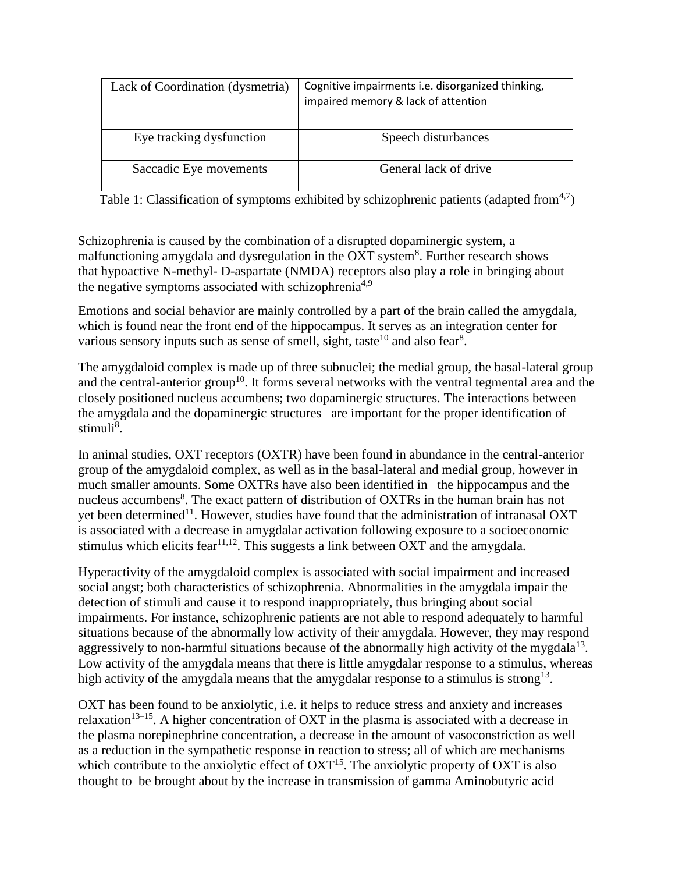| Lack of Coordination (dysmetria) | Cognitive impairments i.e. disorganized thinking,<br>impaired memory & lack of attention |
|----------------------------------|------------------------------------------------------------------------------------------|
| Eye tracking dysfunction         | Speech disturbances                                                                      |
| Saccadic Eye movements           | General lack of drive                                                                    |

Table 1: Classification of symptoms exhibited by schizophrenic patients (adapted from  $4,7$ )

Schizophrenia is caused by the combination of a disrupted dopaminergic system, a malfunctioning amygdala and dysregulation in the OXT system<sup>8</sup>. Further research shows that hypoactive N-methyl- D-aspartate (NMDA) receptors also play a role in bringing about the negative symptoms associated with schizophrenia<sup>4,9</sup>

Emotions and social behavior are mainly controlled by a part of the brain called the amygdala, which is found near the front end of the hippocampus. It serves as an integration center for various sensory inputs such as sense of smell, sight, taste<sup>10</sup> and also fear<sup>8</sup>.

The amygdaloid complex is made up of three subnuclei; the medial group, the basal-lateral group and the central-anterior group<sup>10</sup>. It forms several networks with the ventral tegmental area and the closely positioned nucleus accumbens; two dopaminergic structures. The interactions between the amygdala and the dopaminergic structures are important for the proper identification of stimuli<sup>8</sup>.

In animal studies, OXT receptors (OXTR) have been found in abundance in the central-anterior group of the amygdaloid complex, as well as in the basal-lateral and medial group, however in much smaller amounts. Some OXTRs have also been identified in the hippocampus and the nucleus accumbens<sup>8</sup>. The exact pattern of distribution of OXTRs in the human brain has not yet been determined<sup>11</sup>. However, studies have found that the administration of intranasal OXT is associated with a decrease in amygdalar activation following exposure to a socioeconomic stimulus which elicits fear<sup>11,12</sup>. This suggests a link between OXT and the amygdala.

Hyperactivity of the amygdaloid complex is associated with social impairment and increased social angst; both characteristics of schizophrenia. Abnormalities in the amygdala impair the detection of stimuli and cause it to respond inappropriately, thus bringing about social impairments. For instance, schizophrenic patients are not able to respond adequately to harmful situations because of the abnormally low activity of their amygdala. However, they may respond aggressively to non-harmful situations because of the abnormally high activity of the mygdala $13$ . Low activity of the amygdala means that there is little amygdalar response to a stimulus, whereas high activity of the amygdala means that the amygdalar response to a stimulus is strong<sup>13</sup>.

OXT has been found to be anxiolytic, i.e. it helps to reduce stress and anxiety and increases relaxation<sup>13–15</sup>. A higher concentration of OXT in the plasma is associated with a decrease in the plasma norepinephrine concentration, a decrease in the amount of vasoconstriction as well as a reduction in the sympathetic response in reaction to stress; all of which are mechanisms which contribute to the anxiolytic effect of  $\text{OXT}^{15}$ . The anxiolytic property of  $\text{OXT}$  is also thought to be brought about by the increase in transmission of gamma Aminobutyric acid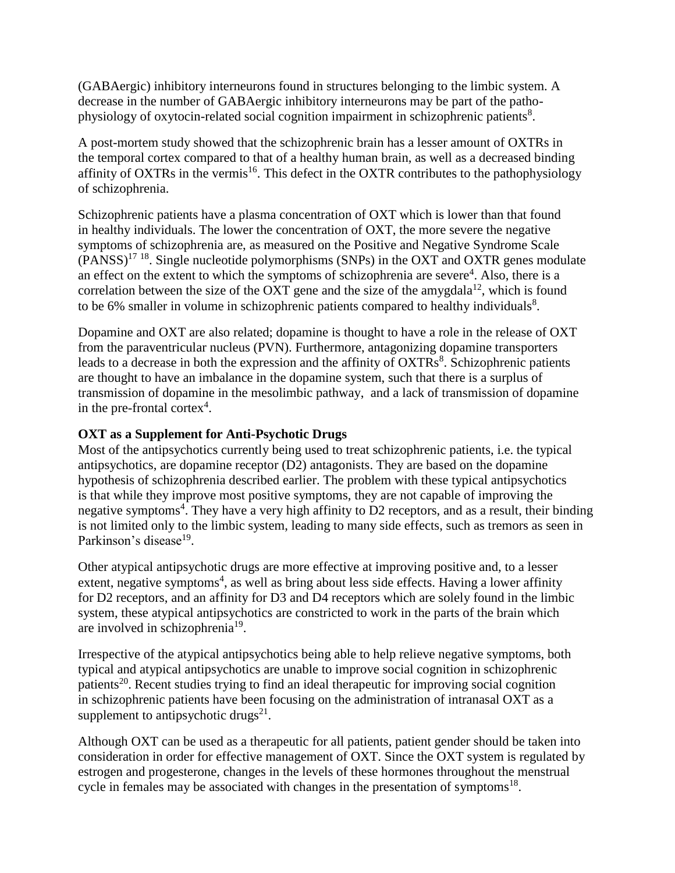(GABAergic) inhibitory interneurons found in structures belonging to the limbic system. A decrease in the number of GABAergic inhibitory interneurons may be part of the pathophysiology of oxytocin-related social cognition impairment in schizophrenic patients<sup>8</sup>.

A post-mortem study showed that the schizophrenic brain has a lesser amount of OXTRs in the temporal cortex compared to that of a healthy human brain, as well as a decreased binding affinity of OXTRs in the vermis<sup>16</sup>. This defect in the OXTR contributes to the pathophysiology of schizophrenia.

Schizophrenic patients have a plasma concentration of OXT which is lower than that found in healthy individuals. The lower the concentration of OXT, the more severe the negative symptoms of schizophrenia are, as measured on the Positive and Negative Syndrome Scale  $(PANSS)^{17}$ <sup>18</sup>. Single nucleotide polymorphisms (SNPs) in the OXT and OXTR genes modulate an effect on the extent to which the symptoms of schizophrenia are severe<sup>4</sup>. Also, there is a correlation between the size of the OXT gene and the size of the amygdala<sup>12</sup>, which is found to be 6% smaller in volume in schizophrenic patients compared to healthy individuals<sup>8</sup>.

Dopamine and OXT are also related; dopamine is thought to have a role in the release of OXT from the paraventricular nucleus (PVN). Furthermore, antagonizing dopamine transporters leads to a decrease in both the expression and the affinity of  $OXTRs<sup>8</sup>$ . Schizophrenic patients are thought to have an imbalance in the dopamine system, such that there is a surplus of transmission of dopamine in the mesolimbic pathway, and a lack of transmission of dopamine in the pre-frontal cortex<sup>4</sup>.

#### **OXT as a Supplement for Anti-Psychotic Drugs**

Most of the antipsychotics currently being used to treat schizophrenic patients, i.e. the typical antipsychotics, are dopamine receptor (D2) antagonists. They are based on the dopamine hypothesis of schizophrenia described earlier. The problem with these typical antipsychotics is that while they improve most positive symptoms, they are not capable of improving the negative symptoms<sup>4</sup>. They have a very high affinity to D2 receptors, and as a result, their binding is not limited only to the limbic system, leading to many side effects, such as tremors as seen in Parkinson's disease<sup>19</sup>.

Other atypical antipsychotic drugs are more effective at improving positive and, to a lesser extent, negative symptoms<sup>4</sup>, as well as bring about less side effects. Having a lower affinity for D2 receptors, and an affinity for D3 and D4 receptors which are solely found in the limbic system, these atypical antipsychotics are constricted to work in the parts of the brain which are involved in schizophrenia<sup>19</sup>.

Irrespective of the atypical antipsychotics being able to help relieve negative symptoms, both typical and atypical antipsychotics are unable to improve social cognition in schizophrenic patients<sup>20</sup>. Recent studies trying to find an ideal therapeutic for improving social cognition in schizophrenic patients have been focusing on the administration of intranasal OXT as a supplement to antipsychotic drugs $^{21}$ .

Although OXT can be used as a therapeutic for all patients, patient gender should be taken into consideration in order for effective management of OXT. Since the OXT system is regulated by estrogen and progesterone, changes in the levels of these hormones throughout the menstrual cycle in females may be associated with changes in the presentation of symptoms $^{18}$ .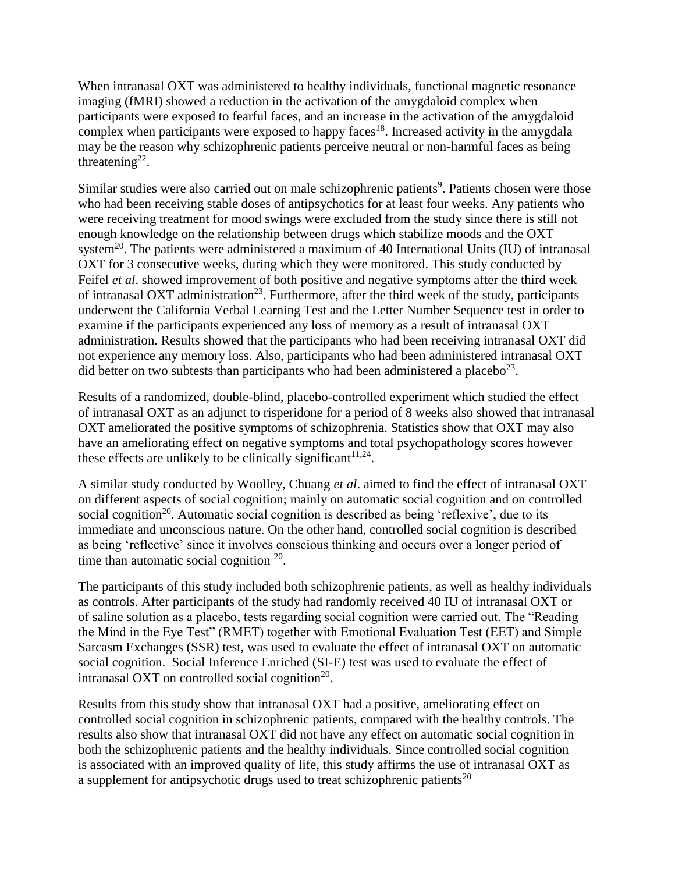When intranasal OXT was administered to healthy individuals, functional magnetic resonance imaging (fMRI) showed a reduction in the activation of the amygdaloid complex when participants were exposed to fearful faces, and an increase in the activation of the amygdaloid complex when participants were exposed to happy faces<sup>18</sup>. Increased activity in the amygdala may be the reason why schizophrenic patients perceive neutral or non-harmful faces as being threatening<sup>22</sup>.

Similar studies were also carried out on male schizophrenic patients<sup>9</sup>. Patients chosen were those who had been receiving stable doses of antipsychotics for at least four weeks. Any patients who were receiving treatment for mood swings were excluded from the study since there is still not enough knowledge on the relationship between drugs which stabilize moods and the OXT system<sup>20</sup>. The patients were administered a maximum of 40 International Units (IU) of intranasal OXT for 3 consecutive weeks, during which they were monitored. This study conducted by Feifel *et al*. showed improvement of both positive and negative symptoms after the third week of intranasal OXT administration<sup>23</sup>. Furthermore, after the third week of the study, participants underwent the California Verbal Learning Test and the Letter Number Sequence test in order to examine if the participants experienced any loss of memory as a result of intranasal OXT administration. Results showed that the participants who had been receiving intranasal OXT did not experience any memory loss. Also, participants who had been administered intranasal OXT did better on two subtests than participants who had been administered a placebo<sup>23</sup>.

Results of a randomized, double-blind, placebo-controlled experiment which studied the effect of intranasal OXT as an adjunct to risperidone for a period of 8 weeks also showed that intranasal OXT ameliorated the positive symptoms of schizophrenia. Statistics show that OXT may also have an ameliorating effect on negative symptoms and total psychopathology scores however these effects are unlikely to be clinically significant  $11,24$ .

A similar study conducted by Woolley, Chuang *et al*. aimed to find the effect of intranasal OXT on different aspects of social cognition; mainly on automatic social cognition and on controlled social cognition<sup>20</sup>. Automatic social cognition is described as being 'reflexive', due to its immediate and unconscious nature. On the other hand, controlled social cognition is described as being 'reflective' since it involves conscious thinking and occurs over a longer period of time than automatic social cognition  $20$ .

The participants of this study included both schizophrenic patients, as well as healthy individuals as controls. After participants of the study had randomly received 40 IU of intranasal OXT or of saline solution as a placebo, tests regarding social cognition were carried out. The "Reading the Mind in the Eye Test" (RMET) together with Emotional Evaluation Test (EET) and Simple Sarcasm Exchanges (SSR) test, was used to evaluate the effect of intranasal OXT on automatic social cognition. Social Inference Enriched (SI-E) test was used to evaluate the effect of intranasal OXT on controlled social cognition<sup>20</sup>.

Results from this study show that intranasal OXT had a positive, ameliorating effect on controlled social cognition in schizophrenic patients, compared with the healthy controls. The results also show that intranasal OXT did not have any effect on automatic social cognition in both the schizophrenic patients and the healthy individuals. Since controlled social cognition is associated with an improved quality of life, this study affirms the use of intranasal OXT as a supplement for antipsychotic drugs used to treat schizophrenic patients<sup>20</sup>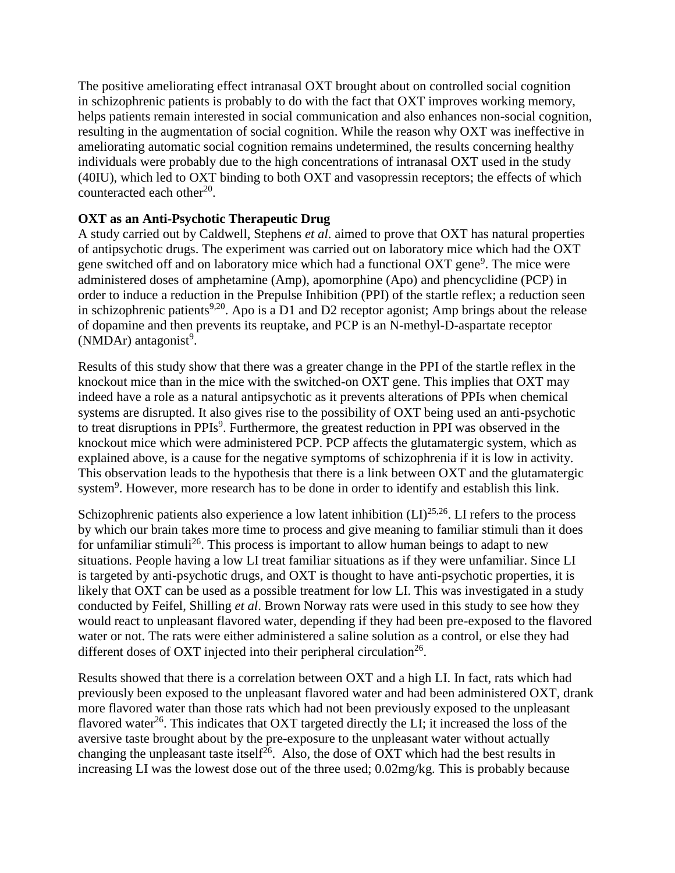The positive ameliorating effect intranasal OXT brought about on controlled social cognition in schizophrenic patients is probably to do with the fact that OXT improves working memory, helps patients remain interested in social communication and also enhances non-social cognition, resulting in the augmentation of social cognition. While the reason why OXT was ineffective in ameliorating automatic social cognition remains undetermined, the results concerning healthy individuals were probably due to the high concentrations of intranasal OXT used in the study (40IU), which led to OXT binding to both OXT and vasopressin receptors; the effects of which counteracted each other $^{20}$ .

# **OXT as an Anti-Psychotic Therapeutic Drug**

A study carried out by Caldwell, Stephens *et al*. aimed to prove that OXT has natural properties of antipsychotic drugs. The experiment was carried out on laboratory mice which had the OXT gene switched off and on laboratory mice which had a functional OXT gene<sup>9</sup>. The mice were administered doses of amphetamine (Amp), apomorphine (Apo) and phencyclidine (PCP) in order to induce a reduction in the Prepulse Inhibition (PPI) of the startle reflex; a reduction seen in schizophrenic patients<sup>9,20</sup>. Apo is a D1 and D2 receptor agonist; Amp brings about the release of dopamine and then prevents its reuptake, and PCP is an N-methyl-D-aspartate receptor  $(NMDAr)$  antagonist<sup>9</sup>.

Results of this study show that there was a greater change in the PPI of the startle reflex in the knockout mice than in the mice with the switched-on OXT gene. This implies that OXT may indeed have a role as a natural antipsychotic as it prevents alterations of PPIs when chemical systems are disrupted. It also gives rise to the possibility of OXT being used an anti-psychotic to treat disruptions in PPIs<sup>9</sup>. Furthermore, the greatest reduction in PPI was observed in the knockout mice which were administered PCP. PCP affects the glutamatergic system, which as explained above, is a cause for the negative symptoms of schizophrenia if it is low in activity. This observation leads to the hypothesis that there is a link between OXT and the glutamatergic system<sup>9</sup>. However, more research has to be done in order to identify and establish this link.

Schizophrenic patients also experience a low latent inhibition  $(LI)^{25,26}$ . LI refers to the process by which our brain takes more time to process and give meaning to familiar stimuli than it does for unfamiliar stimuli<sup>26</sup>. This process is important to allow human beings to adapt to new situations. People having a low LI treat familiar situations as if they were unfamiliar. Since LI is targeted by anti-psychotic drugs, and OXT is thought to have anti-psychotic properties, it is likely that OXT can be used as a possible treatment for low LI. This was investigated in a study conducted by Feifel, Shilling *et al*. Brown Norway rats were used in this study to see how they would react to unpleasant flavored water, depending if they had been pre-exposed to the flavored water or not. The rats were either administered a saline solution as a control, or else they had different doses of OXT injected into their peripheral circulation<sup>26</sup>.

Results showed that there is a correlation between OXT and a high LI. In fact, rats which had previously been exposed to the unpleasant flavored water and had been administered OXT, drank more flavored water than those rats which had not been previously exposed to the unpleasant flavored water<sup>26</sup>. This indicates that OXT targeted directly the LI; it increased the loss of the aversive taste brought about by the pre-exposure to the unpleasant water without actually changing the unpleasant taste itself<sup>26</sup>. Also, the dose of OXT which had the best results in increasing LI was the lowest dose out of the three used; 0.02mg/kg. This is probably because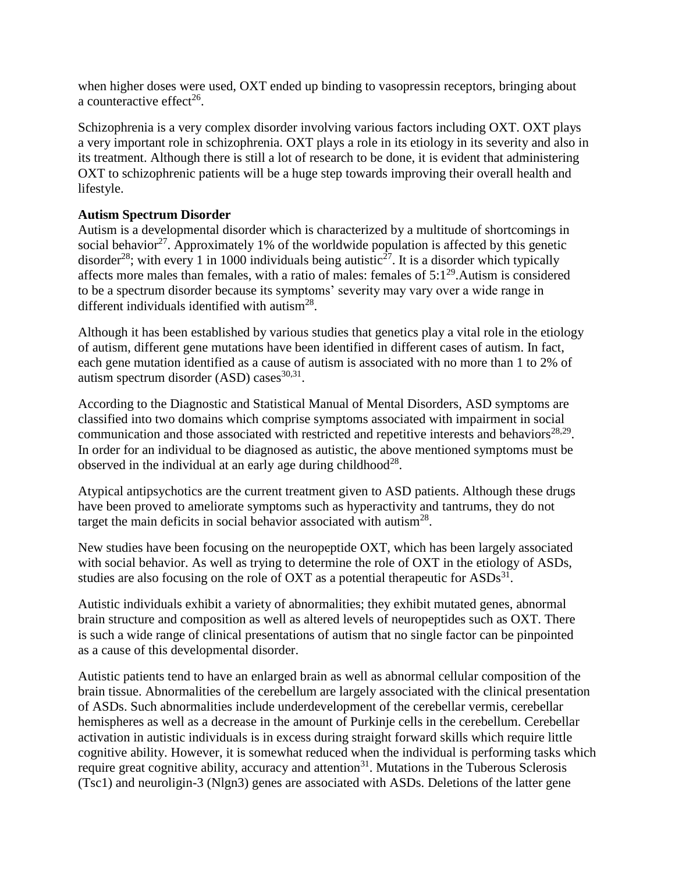when higher doses were used, OXT ended up binding to vasopressin receptors, bringing about a counteractive effect<sup>26</sup>.

Schizophrenia is a very complex disorder involving various factors including OXT. OXT plays a very important role in schizophrenia. OXT plays a role in its etiology in its severity and also in its treatment. Although there is still a lot of research to be done, it is evident that administering OXT to schizophrenic patients will be a huge step towards improving their overall health and lifestyle.

# **Autism Spectrum Disorder**

Autism is a developmental disorder which is characterized by a multitude of shortcomings in social behavior<sup>27</sup>. Approximately 1% of the worldwide population is affected by this genetic disorder<sup>28</sup>; with every 1 in 1000 individuals being autistic<sup>27</sup>. It is a disorder which typically affects more males than females, with a ratio of males: females of  $5:1^{29}$ . Autism is considered to be a spectrum disorder because its symptoms' severity may vary over a wide range in different individuals identified with autism<sup>28</sup>.

Although it has been established by various studies that genetics play a vital role in the etiology of autism, different gene mutations have been identified in different cases of autism. In fact, each gene mutation identified as a cause of autism is associated with no more than 1 to 2% of autism spectrum disorder  $(ASD)$  cases<sup>30,31</sup>.

According to the Diagnostic and Statistical Manual of Mental Disorders, ASD symptoms are classified into two domains which comprise symptoms associated with impairment in social communication and those associated with restricted and repetitive interests and behaviors<sup>28,29</sup>. In order for an individual to be diagnosed as autistic, the above mentioned symptoms must be observed in the individual at an early age during childhood<sup>28</sup>.

Atypical antipsychotics are the current treatment given to ASD patients. Although these drugs have been proved to ameliorate symptoms such as hyperactivity and tantrums, they do not target the main deficits in social behavior associated with autism<sup>28</sup>.

New studies have been focusing on the neuropeptide OXT, which has been largely associated with social behavior. As well as trying to determine the role of OXT in the etiology of ASDs, studies are also focusing on the role of OXT as a potential therapeutic for  $ASDs<sup>31</sup>$ .

Autistic individuals exhibit a variety of abnormalities; they exhibit mutated genes, abnormal brain structure and composition as well as altered levels of neuropeptides such as OXT. There is such a wide range of clinical presentations of autism that no single factor can be pinpointed as a cause of this developmental disorder.

Autistic patients tend to have an enlarged brain as well as abnormal cellular composition of the brain tissue. Abnormalities of the cerebellum are largely associated with the clinical presentation of ASDs. Such abnormalities include underdevelopment of the cerebellar vermis, cerebellar hemispheres as well as a decrease in the amount of Purkinje cells in the cerebellum. Cerebellar activation in autistic individuals is in excess during straight forward skills which require little cognitive ability. However, it is somewhat reduced when the individual is performing tasks which require great cognitive ability, accuracy and attention<sup>31</sup>. Mutations in the Tuberous Sclerosis (Tsc1) and neuroligin-3 (Nlgn3) genes are associated with ASDs. Deletions of the latter gene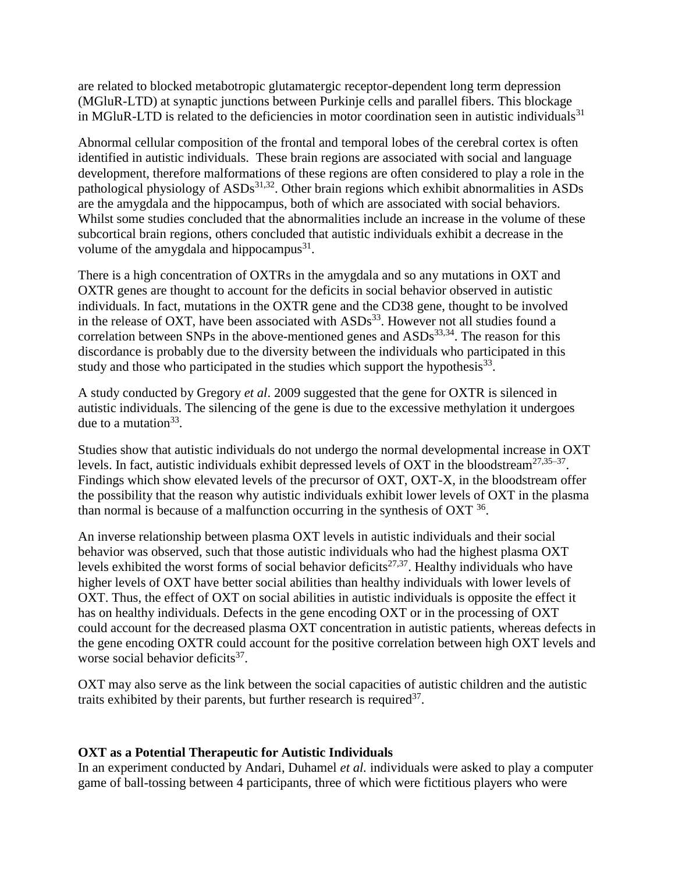are related to blocked metabotropic glutamatergic receptor-dependent long term depression (MGluR-LTD) at synaptic junctions between Purkinje cells and parallel fibers. This blockage in MGluR-LTD is related to the deficiencies in motor coordination seen in autistic individuals $31$ 

Abnormal cellular composition of the frontal and temporal lobes of the cerebral cortex is often identified in autistic individuals. These brain regions are associated with social and language development, therefore malformations of these regions are often considered to play a role in the pathological physiology of  $ASDs<sup>31,32</sup>$ . Other brain regions which exhibit abnormalities in ASDs are the amygdala and the hippocampus, both of which are associated with social behaviors. Whilst some studies concluded that the abnormalities include an increase in the volume of these subcortical brain regions, others concluded that autistic individuals exhibit a decrease in the volume of the amygdala and hippocampus $^{31}$ .

There is a high concentration of OXTRs in the amygdala and so any mutations in OXT and OXTR genes are thought to account for the deficits in social behavior observed in autistic individuals. In fact, mutations in the OXTR gene and the CD38 gene, thought to be involved in the release of OXT, have been associated with  $ASDs<sup>33</sup>$ . However not all studies found a correlation between SNPs in the above-mentioned genes and  $ASDs<sup>33,34</sup>$ . The reason for this discordance is probably due to the diversity between the individuals who participated in this study and those who participated in the studies which support the hypothesis $^{33}$ .

A study conducted by Gregory *et al*. 2009 suggested that the gene for OXTR is silenced in autistic individuals. The silencing of the gene is due to the excessive methylation it undergoes due to a mutation  $33$ .

Studies show that autistic individuals do not undergo the normal developmental increase in OXT levels. In fact, autistic individuals exhibit depressed levels of OXT in the bloodstream<sup>27,35–37</sup>. Findings which show elevated levels of the precursor of OXT, OXT-X, in the bloodstream offer the possibility that the reason why autistic individuals exhibit lower levels of OXT in the plasma than normal is because of a malfunction occurring in the synthesis of  $\text{OXT}^{36}$ .

An inverse relationship between plasma OXT levels in autistic individuals and their social behavior was observed, such that those autistic individuals who had the highest plasma OXT levels exhibited the worst forms of social behavior deficits<sup>27,37</sup>. Healthy individuals who have higher levels of OXT have better social abilities than healthy individuals with lower levels of OXT. Thus, the effect of OXT on social abilities in autistic individuals is opposite the effect it has on healthy individuals. Defects in the gene encoding OXT or in the processing of OXT could account for the decreased plasma OXT concentration in autistic patients, whereas defects in the gene encoding OXTR could account for the positive correlation between high OXT levels and worse social behavior deficits<sup>37</sup>.

OXT may also serve as the link between the social capacities of autistic children and the autistic traits exhibited by their parents, but further research is required  $37$ .

#### **OXT as a Potential Therapeutic for Autistic Individuals**

In an experiment conducted by Andari, Duhamel *et al.* individuals were asked to play a computer game of ball-tossing between 4 participants, three of which were fictitious players who were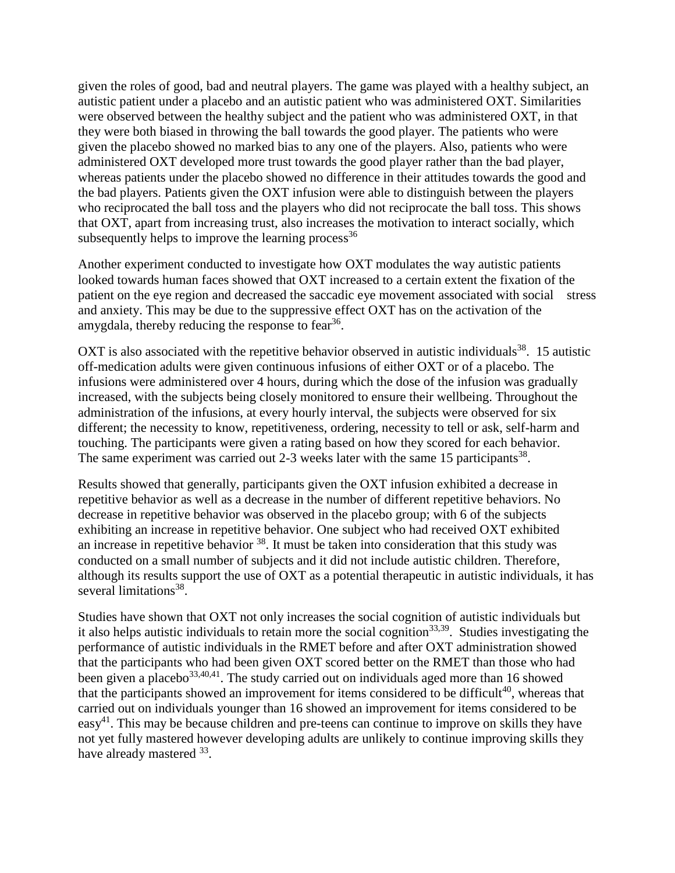given the roles of good, bad and neutral players. The game was played with a healthy subject, an autistic patient under a placebo and an autistic patient who was administered OXT. Similarities were observed between the healthy subject and the patient who was administered OXT, in that they were both biased in throwing the ball towards the good player. The patients who were given the placebo showed no marked bias to any one of the players. Also, patients who were administered OXT developed more trust towards the good player rather than the bad player, whereas patients under the placebo showed no difference in their attitudes towards the good and the bad players. Patients given the OXT infusion were able to distinguish between the players who reciprocated the ball toss and the players who did not reciprocate the ball toss. This shows that OXT, apart from increasing trust, also increases the motivation to interact socially, which subsequently helps to improve the learning process  $36$ 

Another experiment conducted to investigate how OXT modulates the way autistic patients looked towards human faces showed that OXT increased to a certain extent the fixation of the patient on the eye region and decreased the saccadic eye movement associated with social stress and anxiety. This may be due to the suppressive effect OXT has on the activation of the amygdala, thereby reducing the response to fear<sup>36</sup>.

OXT is also associated with the repetitive behavior observed in autistic individuals<sup>38</sup>. 15 autistic off-medication adults were given continuous infusions of either OXT or of a placebo. The infusions were administered over 4 hours, during which the dose of the infusion was gradually increased, with the subjects being closely monitored to ensure their wellbeing. Throughout the administration of the infusions, at every hourly interval, the subjects were observed for six different; the necessity to know, repetitiveness, ordering, necessity to tell or ask, self-harm and touching. The participants were given a rating based on how they scored for each behavior. The same experiment was carried out 2-3 weeks later with the same 15 participants<sup>38</sup>.

Results showed that generally, participants given the OXT infusion exhibited a decrease in repetitive behavior as well as a decrease in the number of different repetitive behaviors. No decrease in repetitive behavior was observed in the placebo group; with 6 of the subjects exhibiting an increase in repetitive behavior. One subject who had received OXT exhibited an increase in repetitive behavior  $38$ . It must be taken into consideration that this study was conducted on a small number of subjects and it did not include autistic children. Therefore, although its results support the use of OXT as a potential therapeutic in autistic individuals, it has several limitations<sup>38</sup>.

Studies have shown that OXT not only increases the social cognition of autistic individuals but it also helps autistic individuals to retain more the social cognition<sup>33,39</sup>. Studies investigating the performance of autistic individuals in the RMET before and after OXT administration showed that the participants who had been given OXT scored better on the RMET than those who had been given a placebo $33,40,41$ . The study carried out on individuals aged more than 16 showed that the participants showed an improvement for items considered to be difficult<sup>40</sup>, whereas that carried out on individuals younger than 16 showed an improvement for items considered to be  $easy<sup>41</sup>$ . This may be because children and pre-teens can continue to improve on skills they have not yet fully mastered however developing adults are unlikely to continue improving skills they have already mastered 33.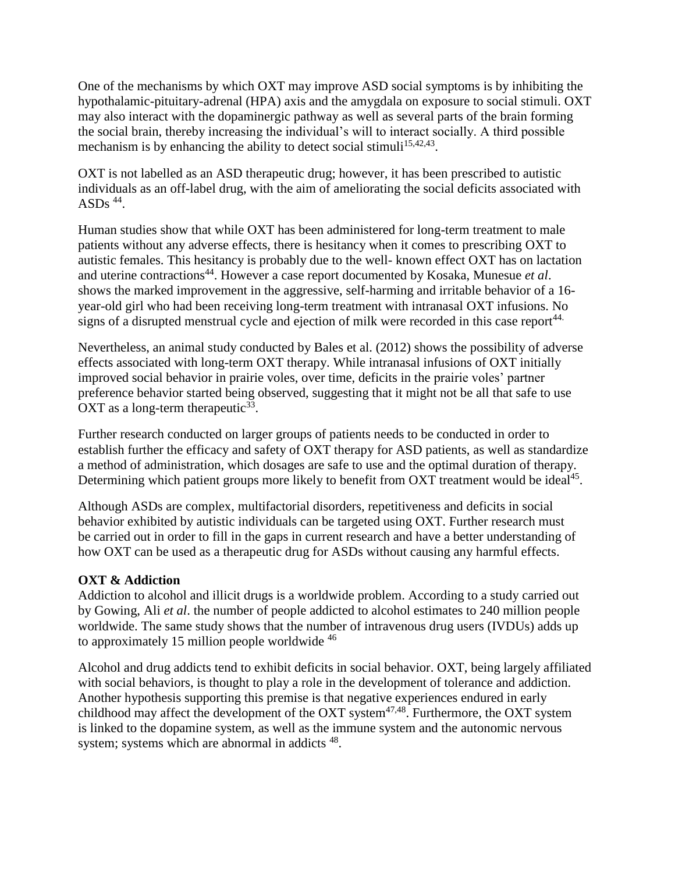One of the mechanisms by which OXT may improve ASD social symptoms is by inhibiting the hypothalamic-pituitary-adrenal (HPA) axis and the amygdala on exposure to social stimuli. OXT may also interact with the dopaminergic pathway as well as several parts of the brain forming the social brain, thereby increasing the individual's will to interact socially. A third possible mechanism is by enhancing the ability to detect social stimuli<sup>15,42,43</sup>.

OXT is not labelled as an ASD therapeutic drug; however, it has been prescribed to autistic individuals as an off-label drug, with the aim of ameliorating the social deficits associated with ASDs  $44$ .

Human studies show that while OXT has been administered for long-term treatment to male patients without any adverse effects, there is hesitancy when it comes to prescribing OXT to autistic females. This hesitancy is probably due to the well- known effect OXT has on lactation and uterine contractions<sup>44</sup>. However a case report documented by Kosaka, Munesue *et al*. shows the marked improvement in the aggressive, self-harming and irritable behavior of a 16 year-old girl who had been receiving long-term treatment with intranasal OXT infusions. No signs of a disrupted menstrual cycle and ejection of milk were recorded in this case report<sup>44.</sup>

Nevertheless, an animal study conducted by Bales et al. (2012) shows the possibility of adverse effects associated with long-term OXT therapy. While intranasal infusions of OXT initially improved social behavior in prairie voles, over time, deficits in the prairie voles' partner preference behavior started being observed, suggesting that it might not be all that safe to use OXT as a long-term therapeutic $33$ .

Further research conducted on larger groups of patients needs to be conducted in order to establish further the efficacy and safety of OXT therapy for ASD patients, as well as standardize a method of administration, which dosages are safe to use and the optimal duration of therapy. Determining which patient groups more likely to benefit from OXT treatment would be ideal<sup>45</sup>.

Although ASDs are complex, multifactorial disorders, repetitiveness and deficits in social behavior exhibited by autistic individuals can be targeted using OXT. Further research must be carried out in order to fill in the gaps in current research and have a better understanding of how OXT can be used as a therapeutic drug for ASDs without causing any harmful effects.

# **OXT & Addiction**

Addiction to alcohol and illicit drugs is a worldwide problem. According to a study carried out by Gowing, Ali *et al*. the number of people addicted to alcohol estimates to 240 million people worldwide. The same study shows that the number of intravenous drug users (IVDUs) adds up to approximately 15 million people worldwide <sup>46</sup>

Alcohol and drug addicts tend to exhibit deficits in social behavior. OXT, being largely affiliated with social behaviors, is thought to play a role in the development of tolerance and addiction. Another hypothesis supporting this premise is that negative experiences endured in early childhood may affect the development of the OXT system<sup>47,48</sup>. Furthermore, the OXT system is linked to the dopamine system, as well as the immune system and the autonomic nervous system; systems which are abnormal in addicts <sup>48</sup>.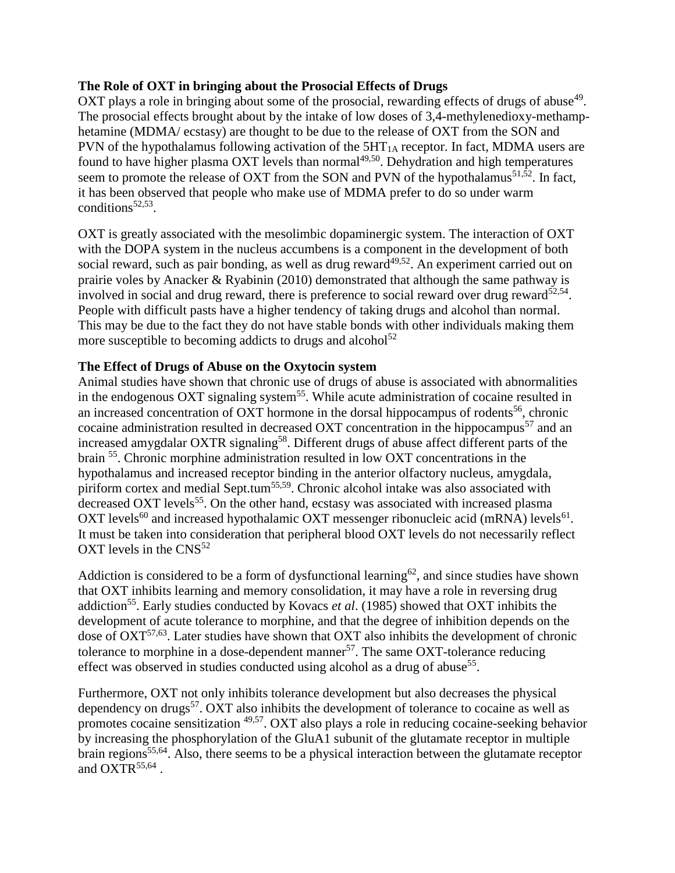#### **The Role of OXT in bringing about the Prosocial Effects of Drugs**

OXT plays a role in bringing about some of the prosocial, rewarding effects of drugs of abuse<sup>49</sup>. The prosocial effects brought about by the intake of low doses of 3,4-methylenedioxy-methamphetamine (MDMA/ ecstasy) are thought to be due to the release of OXT from the SON and PVN of the hypothalamus following activation of the  $5HT<sub>1A</sub>$  receptor. In fact, MDMA users are found to have higher plasma OXT levels than normal<sup>49,50</sup>. Dehydration and high temperatures seem to promote the release of OXT from the SON and PVN of the hypothalamus<sup>51,52</sup>. In fact, it has been observed that people who make use of MDMA prefer to do so under warm conditions $52,53$ .

OXT is greatly associated with the mesolimbic dopaminergic system. The interaction of OXT with the DOPA system in the nucleus accumbens is a component in the development of both social reward, such as pair bonding, as well as drug reward<sup>49,52</sup>. An experiment carried out on prairie voles by Anacker & Ryabinin (2010) demonstrated that although the same pathway is involved in social and drug reward, there is preference to social reward over drug reward<sup>52,54</sup>. People with difficult pasts have a higher tendency of taking drugs and alcohol than normal. This may be due to the fact they do not have stable bonds with other individuals making them more susceptible to becoming addicts to drugs and alcohol<sup>52</sup>

# **The Effect of Drugs of Abuse on the Oxytocin system**

Animal studies have shown that chronic use of drugs of abuse is associated with abnormalities in the endogenous OXT signaling system<sup>55</sup>. While acute administration of cocaine resulted in an increased concentration of OXT hormone in the dorsal hippocampus of rodents<sup>56</sup>, chronic cocaine administration resulted in decreased OXT concentration in the hippocampus<sup>57</sup> and an increased amygdalar OXTR signaling<sup>58</sup>. Different drugs of abuse affect different parts of the brain <sup>55</sup>. Chronic morphine administration resulted in low OXT concentrations in the hypothalamus and increased receptor binding in the anterior olfactory nucleus, amygdala, piriform cortex and medial Sept.tum<sup>55,59</sup>. Chronic alcohol intake was also associated with decreased OXT levels<sup>55</sup>. On the other hand, ecstasy was associated with increased plasma OXT levels<sup>60</sup> and increased hypothalamic OXT messenger ribonucleic acid (mRNA) levels<sup>61</sup>. It must be taken into consideration that peripheral blood OXT levels do not necessarily reflect OXT levels in the  $CNS<sup>52</sup>$ 

Addiction is considered to be a form of dysfunctional learning<sup>62</sup>, and since studies have shown that OXT inhibits learning and memory consolidation, it may have a role in reversing drug addiction<sup>55</sup>. Early studies conducted by Kovacs *et al.* (1985) showed that OXT inhibits the development of acute tolerance to morphine, and that the degree of inhibition depends on the dose of  $OXT^{57,63}$ . Later studies have shown that  $OXT$  also inhibits the development of chronic tolerance to morphine in a dose-dependent manner<sup>57</sup>. The same OXT-tolerance reducing effect was observed in studies conducted using alcohol as a drug of abuse<sup>55</sup>.

Furthermore, OXT not only inhibits tolerance development but also decreases the physical dependency on drugs<sup>57</sup>. OXT also inhibits the development of tolerance to cocaine as well as promotes cocaine sensitization 49,57. OXT also plays a role in reducing cocaine-seeking behavior by increasing the phosphorylation of the GluA1 subunit of the glutamate receptor in multiple brain regions<sup>55,64</sup>. Also, there seems to be a physical interaction between the glutamate receptor and  $OXTR^{55,64}$ .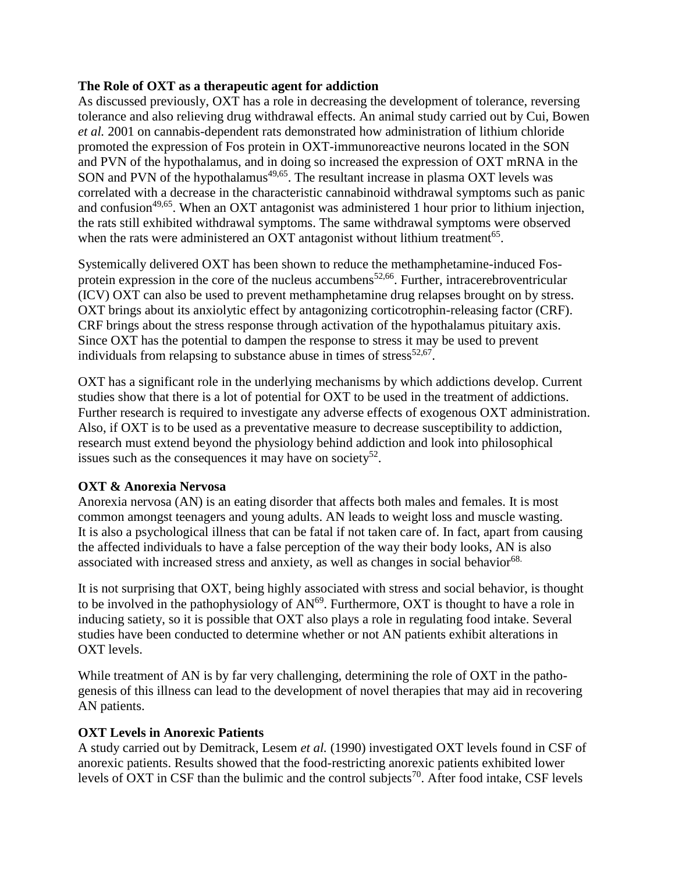#### **The Role of OXT as a therapeutic agent for addiction**

As discussed previously, OXT has a role in decreasing the development of tolerance, reversing tolerance and also relieving drug withdrawal effects. An animal study carried out by Cui, Bowen *et al.* 2001 on cannabis-dependent rats demonstrated how administration of lithium chloride promoted the expression of Fos protein in OXT-immunoreactive neurons located in the SON and PVN of the hypothalamus, and in doing so increased the expression of OXT mRNA in the SON and PVN of the hypothalamus<sup>49,65</sup>. The resultant increase in plasma OXT levels was correlated with a decrease in the characteristic cannabinoid withdrawal symptoms such as panic and confusion<sup>49,65</sup>. When an OXT antagonist was administered 1 hour prior to lithium injection, the rats still exhibited withdrawal symptoms. The same withdrawal symptoms were observed when the rats were administered an OXT antagonist without lithium treatment<sup>65</sup>.

Systemically delivered OXT has been shown to reduce the methamphetamine-induced Fosprotein expression in the core of the nucleus accumbens<sup>52,66</sup>. Further, intracerebroventricular (ICV) OXT can also be used to prevent methamphetamine drug relapses brought on by stress. OXT brings about its anxiolytic effect by antagonizing corticotrophin-releasing factor (CRF). CRF brings about the stress response through activation of the hypothalamus pituitary axis. Since OXT has the potential to dampen the response to stress it may be used to prevent individuals from relapsing to substance abuse in times of stress<sup>52,67</sup>.

OXT has a significant role in the underlying mechanisms by which addictions develop. Current studies show that there is a lot of potential for OXT to be used in the treatment of addictions. Further research is required to investigate any adverse effects of exogenous OXT administration. Also, if OXT is to be used as a preventative measure to decrease susceptibility to addiction, research must extend beyond the physiology behind addiction and look into philosophical issues such as the consequences it may have on society<sup>52</sup>.

# **OXT & Anorexia Nervosa**

Anorexia nervosa (AN) is an eating disorder that affects both males and females. It is most common amongst teenagers and young adults. AN leads to weight loss and muscle wasting. It is also a psychological illness that can be fatal if not taken care of. In fact, apart from causing the affected individuals to have a false perception of the way their body looks, AN is also associated with increased stress and anxiety, as well as changes in social behavior<sup>68.</sup>

It is not surprising that OXT, being highly associated with stress and social behavior, is thought to be involved in the pathophysiology of  $AN<sup>69</sup>$ . Furthermore, OXT is thought to have a role in inducing satiety, so it is possible that OXT also plays a role in regulating food intake. Several studies have been conducted to determine whether or not AN patients exhibit alterations in OXT levels.

While treatment of AN is by far very challenging, determining the role of OXT in the pathogenesis of this illness can lead to the development of novel therapies that may aid in recovering AN patients.

# **OXT Levels in Anorexic Patients**

A study carried out by Demitrack, Lesem *et al.* (1990) investigated OXT levels found in CSF of anorexic patients. Results showed that the food-restricting anorexic patients exhibited lower levels of OXT in CSF than the bulimic and the control subjects<sup>70</sup>. After food intake, CSF levels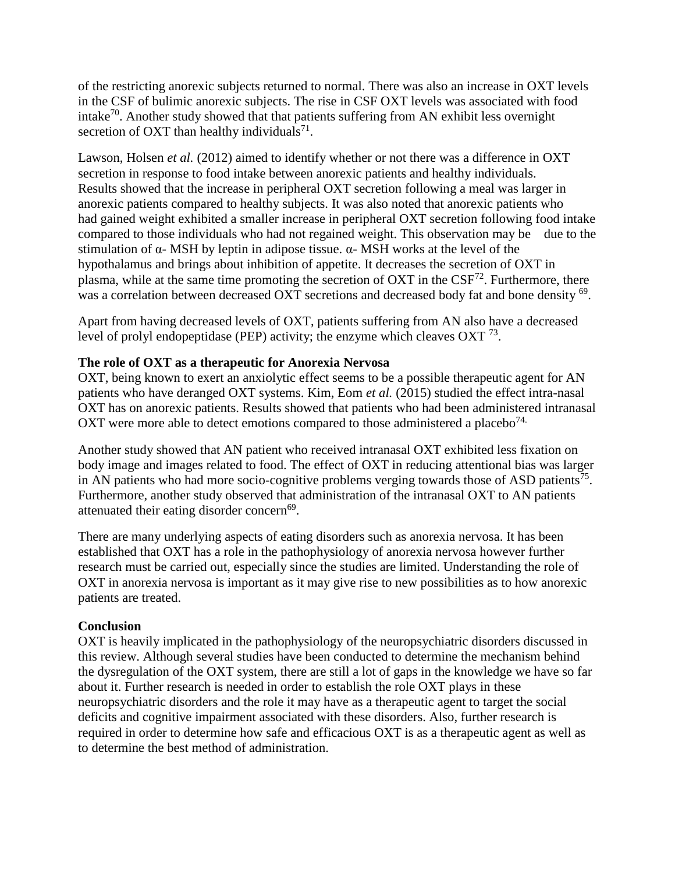of the restricting anorexic subjects returned to normal. There was also an increase in OXT levels in the CSF of bulimic anorexic subjects. The rise in CSF OXT levels was associated with food intake<sup>70</sup>. Another study showed that that patients suffering from AN exhibit less overnight secretion of OXT than healthy individuals<sup>71</sup>.

Lawson, Holsen *et al.* (2012) aimed to identify whether or not there was a difference in OXT secretion in response to food intake between anorexic patients and healthy individuals. Results showed that the increase in peripheral OXT secretion following a meal was larger in anorexic patients compared to healthy subjects. It was also noted that anorexic patients who had gained weight exhibited a smaller increase in peripheral OXT secretion following food intake compared to those individuals who had not regained weight. This observation may be due to the stimulation of α- MSH by leptin in adipose tissue. α- MSH works at the level of the hypothalamus and brings about inhibition of appetite. It decreases the secretion of OXT in plasma, while at the same time promoting the secretion of OXT in the  $CSF<sup>72</sup>$ . Furthermore, there was a correlation between decreased OXT secretions and decreased body fat and bone density <sup>69</sup>.

Apart from having decreased levels of OXT, patients suffering from AN also have a decreased level of prolyl endopeptidase (PEP) activity; the enzyme which cleaves  $\text{OXT}$ <sup>73</sup>.

# **The role of OXT as a therapeutic for Anorexia Nervosa**

OXT, being known to exert an anxiolytic effect seems to be a possible therapeutic agent for AN patients who have deranged OXT systems. Kim, Eom *et al.* (2015) studied the effect intra-nasal OXT has on anorexic patients. Results showed that patients who had been administered intranasal OXT were more able to detect emotions compared to those administered a placebo<sup>74.</sup>

Another study showed that AN patient who received intranasal OXT exhibited less fixation on body image and images related to food. The effect of OXT in reducing attentional bias was larger in AN patients who had more socio-cognitive problems verging towards those of ASD patients<sup>75</sup>. Furthermore, another study observed that administration of the intranasal OXT to AN patients attenuated their eating disorder concern<sup>69</sup>.

There are many underlying aspects of eating disorders such as anorexia nervosa. It has been established that OXT has a role in the pathophysiology of anorexia nervosa however further research must be carried out, especially since the studies are limited. Understanding the role of OXT in anorexia nervosa is important as it may give rise to new possibilities as to how anorexic patients are treated.

#### **Conclusion**

OXT is heavily implicated in the pathophysiology of the neuropsychiatric disorders discussed in this review. Although several studies have been conducted to determine the mechanism behind the dysregulation of the OXT system, there are still a lot of gaps in the knowledge we have so far about it. Further research is needed in order to establish the role OXT plays in these neuropsychiatric disorders and the role it may have as a therapeutic agent to target the social deficits and cognitive impairment associated with these disorders. Also, further research is required in order to determine how safe and efficacious OXT is as a therapeutic agent as well as to determine the best method of administration.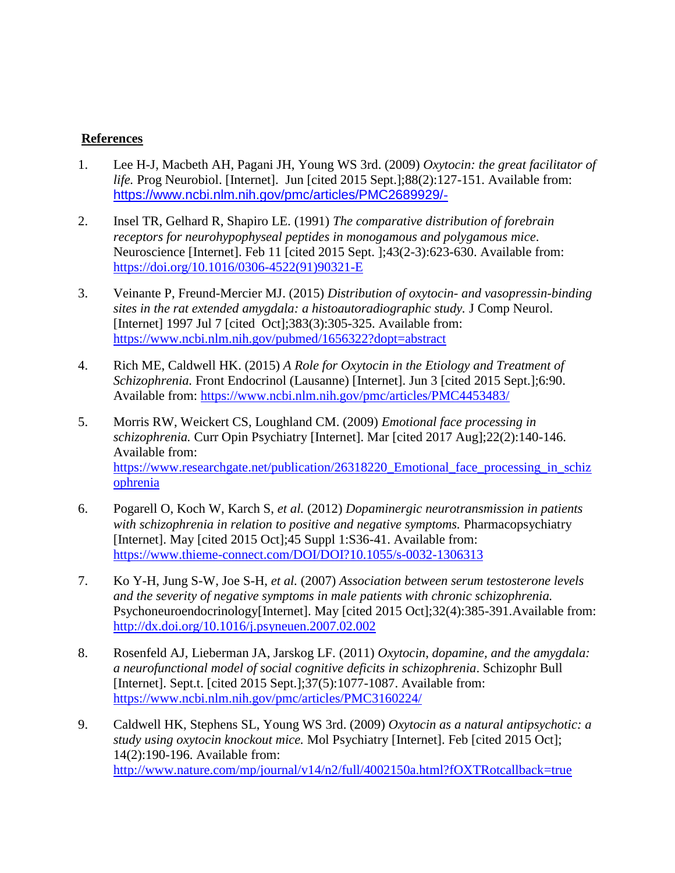#### **References**

- 1. Lee H-J, Macbeth AH, Pagani JH, Young WS 3rd. (2009) *Oxytocin: the great facilitator of life.* Prog Neurobiol. [Internet]. Jun [cited 2015 Sept.];88(2):127-151. Available from: <https://www.ncbi.nlm.nih.gov/pmc/articles/PMC2689929/>[-](https://www.ncbi.nlm.nih.gov/pmc/articles/PMC2689929/)
- 2. Insel TR, Gelhard R, Shapiro LE. (1991) *The comparative distribution of forebrain receptors for neurohypophyseal peptides in monogamous and polygamous mice*. Neuroscience [Internet]. Feb 11 [cited 2015 Sept. ];43(2-3):623-630. Available from: [https://doi.org/10.1016/0306-4522\(91\)90321-E](https://doi.org/10.1016/0306-4522(91)90321-E)
- 3. Veinante P, Freund-Mercier MJ. (2015) *Distribution of oxytocin- and vasopressin-binding sites in the rat extended amygdala: a histoautoradiographic study.* J Comp Neurol. [Internet] 1997 Jul 7 [cited Oct]; 383(3): 305-325. Available from: <https://www.ncbi.nlm.nih.gov/pubmed/1656322?dopt=abstract>
- 4. Rich ME, Caldwell HK. (2015) *A Role for Oxytocin in the Etiology and Treatment of Schizophrenia.* Front Endocrinol (Lausanne) [Internet]. Jun 3 [cited 2015 Sept.];6:90. Available from:<https://www.ncbi.nlm.nih.gov/pmc/articles/PMC4453483/>
- 5. Morris RW, Weickert CS, Loughland CM. (2009) *Emotional face processing in schizophrenia.* Curr Opin Psychiatry [Internet]. Mar [cited 2017 Aug];22(2):140-146. Available from: https://www.researchgate.net/publication/26318220 Emotional face processing in schiz [ophrenia](https://www.researchgate.net/publication/26318220_Emotional_face_processing_in_schizophrenia)
- 6. Pogarell O, Koch W, Karch S, *et al.* (2012) *Dopaminergic neurotransmission in patients*  with schizophrenia in relation to positive and negative symptoms. Pharmacopsychiatry [Internet]. May [cited 2015 Oct];45 Suppl 1:S36-41. Available from: <https://www.thieme-connect.com/DOI/DOI?10.1055/s-0032-1306313>
- 7. Ko Y-H, Jung S-W, Joe S-H, *et al.* (2007) *Association between serum testosterone levels and the severity of negative symptoms in male patients with chronic schizophrenia.*  Psychoneuroendocrinology[Internet]. May [cited 2015 Oct];32(4):385-391.Available from: <http://dx.doi.org/10.1016/j.psyneuen.2007.02.002>
- 8. Rosenfeld AJ, Lieberman JA, Jarskog LF. (2011) *Oxytocin, dopamine, and the amygdala: a neurofunctional model of social cognitive deficits in schizophrenia*. Schizophr Bull [Internet]. Sept.t. [cited 2015 Sept.];37(5):1077-1087. Available from: <https://www.ncbi.nlm.nih.gov/pmc/articles/PMC3160224/>
- 9. Caldwell HK, Stephens SL, Young WS 3rd. (2009) *Oxytocin as a natural antipsychotic: a study using oxytocin knockout mice.* Mol Psychiatry [Internet]. Feb [cited 2015 Oct]; 14(2):190-196. Available from: [http://www.nature.com/mp/journal/v14/n2/full/4002150a.html?fOXTRotcallback=true](http://www.nature.com/mp/journal/v14/n2/full/4002150a.html?foxtrotcallback=true)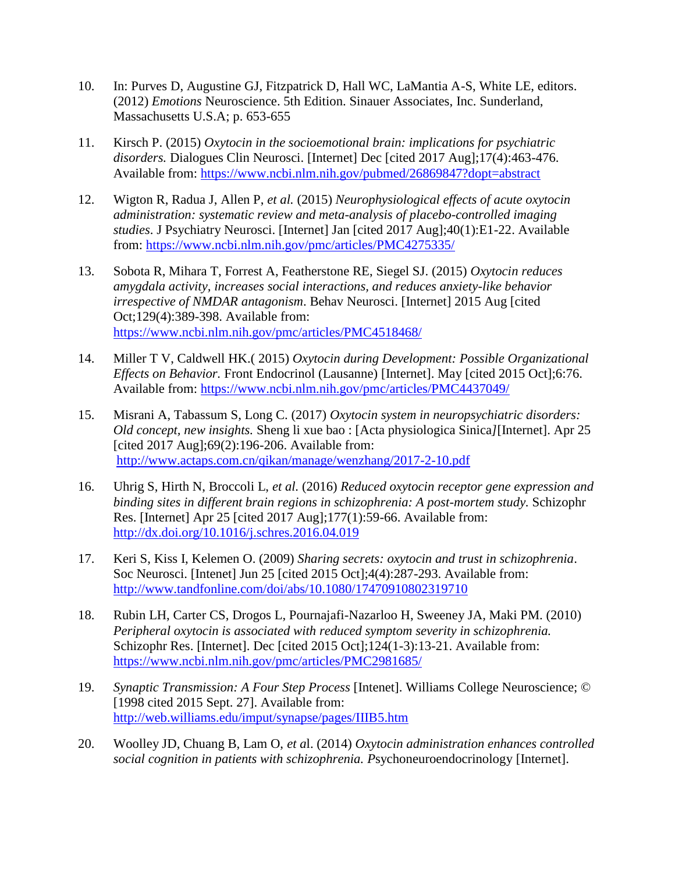- 10. In: Purves D, Augustine GJ, Fitzpatrick D, Hall WC, LaMantia A-S, White LE, editors. (2012) *Emotions* Neuroscience. 5th Edition. Sinauer Associates, Inc. Sunderland, Massachusetts U.S.A; p. 653-655
- 11. Kirsch P. (2015) *Oxytocin in the socioemotional brain: implications for psychiatric disorders.* Dialogues Clin Neurosci. [Internet] Dec [cited 2017 Aug];17(4):463-476. Available from:<https://www.ncbi.nlm.nih.gov/pubmed/26869847?dopt=abstract>
- 12. Wigton R, Radua J, Allen P, *et al.* (2015) *Neurophysiological effects of acute oxytocin administration: systematic review and meta-analysis of placebo-controlled imaging studies*. J Psychiatry Neurosci. [Internet] Jan [cited 2017 Aug];40(1):E1-22. Available from:<https://www.ncbi.nlm.nih.gov/pmc/articles/PMC4275335/>
- 13. Sobota R, Mihara T, Forrest A, Featherstone RE, Siegel SJ. (2015) *Oxytocin reduces amygdala activity, increases social interactions, and reduces anxiety-like behavior irrespective of NMDAR antagonism*. Behav Neurosci. [Internet] 2015 Aug [cited Oct;129(4):389-398. Available from: <https://www.ncbi.nlm.nih.gov/pmc/articles/PMC4518468/>
- 14. Miller T V, Caldwell HK.( 2015) *Oxytocin during Development: Possible Organizational Effects on Behavior.* Front Endocrinol (Lausanne) [Internet]. May [cited 2015 Oct];6:76. Available from:<https://www.ncbi.nlm.nih.gov/pmc/articles/PMC4437049/>
- 15. Misrani A, Tabassum S, Long C. (2017) *Oxytocin system in neuropsychiatric disorders: Old concept, new insights.* Sheng li xue bao : [Acta physiologica Sinica*]*[Internet]. Apr 25 [cited 2017 Aug];69(2):196-206. Available from: <http://www.actaps.com.cn/qikan/manage/wenzhang/2017-2-10.pdf>
- 16. Uhrig S, Hirth N, Broccoli L, *et al.* (2016) *Reduced oxytocin receptor gene expression and binding sites in different brain regions in schizophrenia: A post-mortem study.* Schizophr Res. [Internet] Apr 25 [cited 2017 Aug];177(1):59-66. Available from: <http://dx.doi.org/10.1016/j.schres.2016.04.019>
- 17. Keri S, Kiss I, Kelemen O. (2009) *Sharing secrets: oxytocin and trust in schizophrenia*. Soc Neurosci. [Intenet] Jun 25 [cited 2015 Oct];4(4):287-293. Available from: <http://www.tandfonline.com/doi/abs/10.1080/17470910802319710>
- 18. Rubin LH, Carter CS, Drogos L, Pournajafi-Nazarloo H, Sweeney JA, Maki PM. (2010) *Peripheral oxytocin is associated with reduced symptom severity in schizophrenia.* Schizophr Res. [Internet]. Dec [cited 2015 Oct];124(1-3):13-21. Available from: <https://www.ncbi.nlm.nih.gov/pmc/articles/PMC2981685/>
- 19. *Synaptic Transmission: A Four Step Process* [Intenet]. Williams College Neuroscience; © [1998 cited 2015 Sept. 27]. Available from: <http://web.williams.edu/imput/synapse/pages/IIIB5.htm>
- 20. Woolley JD, Chuang B, Lam O, *et a*l. (2014) *Oxytocin administration enhances controlled social cognition in patients with schizophrenia. P*sychoneuroendocrinology [Internet].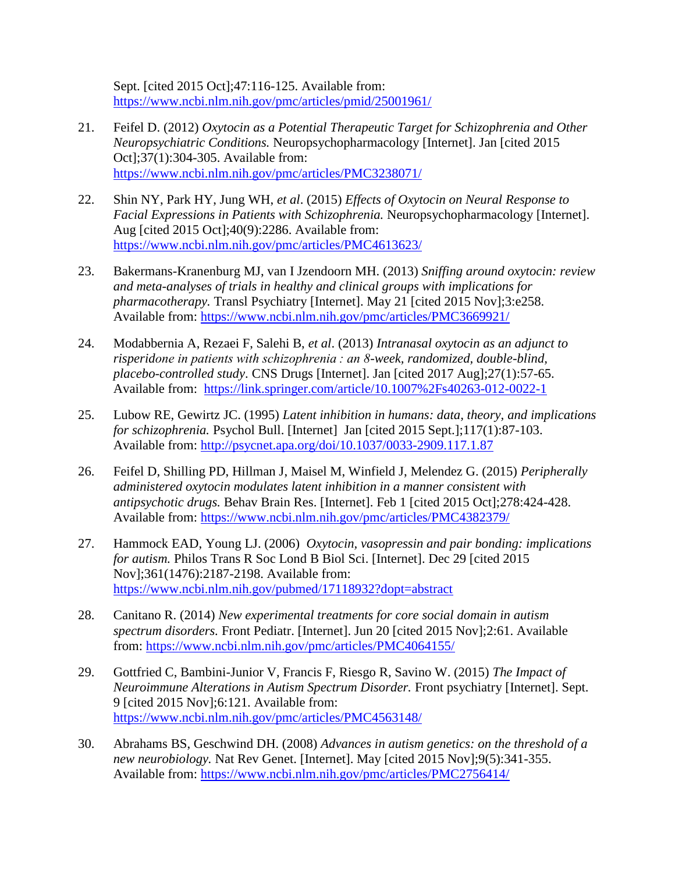Sept. [cited 2015 Oct]; 47:116-125. Available from: <https://www.ncbi.nlm.nih.gov/pmc/articles/pmid/25001961/>

- 21. Feifel D. (2012) *Oxytocin as a Potential Therapeutic Target for Schizophrenia and Other Neuropsychiatric Conditions.* Neuropsychopharmacology [Internet]. Jan [cited 2015 Oct];37(1):304-305. Available from: <https://www.ncbi.nlm.nih.gov/pmc/articles/PMC3238071/>
- 22. Shin NY, Park HY, Jung WH, *et al*. (2015) *Effects of Oxytocin on Neural Response to Facial Expressions in Patients with Schizophrenia.* Neuropsychopharmacology [Internet]. Aug [cited 2015 Oct];40(9):2286. Available from: <https://www.ncbi.nlm.nih.gov/pmc/articles/PMC4613623/>
- 23. Bakermans-Kranenburg MJ, van I Jzendoorn MH. (2013) *Sniffing around oxytocin: review and meta-analyses of trials in healthy and clinical groups with implications for pharmacotherapy.* Transl Psychiatry [Internet]. May 21 [cited 2015 Nov];3:e258. Available from:<https://www.ncbi.nlm.nih.gov/pmc/articles/PMC3669921/>
- 24. Modabbernia A, Rezaei F, Salehi B, *et al*. (2013) *Intranasal oxytocin as an adjunct to risperidone in patients with schizophrenia : an 8-week, randomized, double-blind, placebo-controlled study*. CNS Drugs [Internet]. Jan [cited 2017 Aug];27(1):57-65. Available from: <https://link.springer.com/article/10.1007%2Fs40263-012-0022-1>
- 25. Lubow RE, Gewirtz JC. (1995) *Latent inhibition in humans: data, theory, and implications for schizophrenia.* Psychol Bull. [Internet] Jan [cited 2015 Sept.];117(1):87-103. Available from:<http://psycnet.apa.org/doi/10.1037/0033-2909.117.1.87>
- 26. Feifel D, Shilling PD, Hillman J, Maisel M, Winfield J, Melendez G. (2015) *Peripherally administered oxytocin modulates latent inhibition in a manner consistent with antipsychotic drugs.* Behav Brain Res. [Internet]. Feb 1 [cited 2015 Oct];278:424-428. Available from:<https://www.ncbi.nlm.nih.gov/pmc/articles/PMC4382379/>
- 27. Hammock EAD, Young LJ. (2006) *Oxytocin, vasopressin and pair bonding: implications for autism.* Philos Trans R Soc Lond B Biol Sci. [Internet]. Dec 29 [cited 2015 Nov];361(1476):2187-2198. Available from: <https://www.ncbi.nlm.nih.gov/pubmed/17118932?dopt=abstract>
- 28. Canitano R. (2014) *New experimental treatments for core social domain in autism spectrum disorders.* Front Pediatr. [Internet]. Jun 20 [cited 2015 Nov];2:61. Available from:<https://www.ncbi.nlm.nih.gov/pmc/articles/PMC4064155/>
- 29. Gottfried C, Bambini-Junior V, Francis F, Riesgo R, Savino W. (2015) *The Impact of Neuroimmune Alterations in Autism Spectrum Disorder.* Front psychiatry [Internet]. Sept. 9 [cited 2015 Nov];6:121. Available from: <https://www.ncbi.nlm.nih.gov/pmc/articles/PMC4563148/>
- 30. Abrahams BS, Geschwind DH. (2008) *Advances in autism genetics: on the threshold of a new neurobiology.* Nat Rev Genet. [Internet]. May [cited 2015 Nov];9(5):341-355. Available from:<https://www.ncbi.nlm.nih.gov/pmc/articles/PMC2756414/>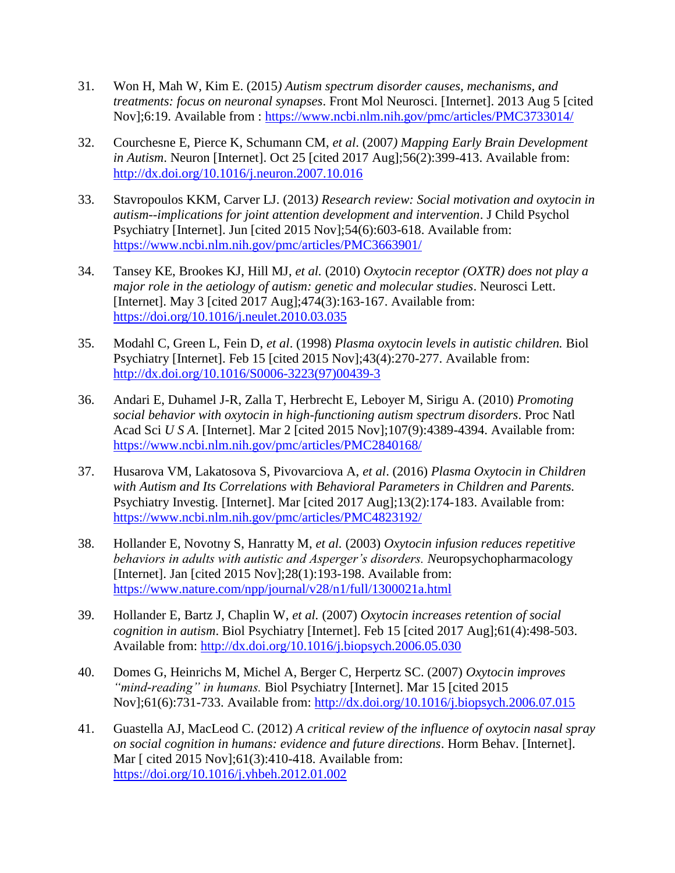- 31. Won H, Mah W, Kim E. (2015*) Autism spectrum disorder causes, mechanisms, and treatments: focus on neuronal synapses*. Front Mol Neurosci. [Internet]. 2013 Aug 5 [cited Nov];6:19. Available from :<https://www.ncbi.nlm.nih.gov/pmc/articles/PMC3733014/>
- 32. Courchesne E, Pierce K, Schumann CM, *et al*. (2007*) Mapping Early Brain Development in Autism*. Neuron [Internet]. Oct 25 [cited 2017 Aug];56(2):399-413. Available from: <http://dx.doi.org/10.1016/j.neuron.2007.10.016>
- 33. Stavropoulos KKM, Carver LJ. (2013*) Research review: Social motivation and oxytocin in autism--implications for joint attention development and intervention*. J Child Psychol Psychiatry [Internet]. Jun [cited 2015 Nov];54(6):603-618. Available from: <https://www.ncbi.nlm.nih.gov/pmc/articles/PMC3663901/>
- 34. Tansey KE, Brookes KJ, Hill MJ, *et al.* (2010) *Oxytocin receptor (OXTR) does not play a major role in the aetiology of autism: genetic and molecular studies*. Neurosci Lett. [Internet]. May 3 [cited 2017 Aug];474(3):163-167. Available from: <https://doi.org/10.1016/j.neulet.2010.03.035>
- 35. Modahl C, Green L, Fein D, *et al*. (1998) *Plasma oxytocin levels in autistic children.* Biol Psychiatry [Internet]. Feb 15 [cited 2015 Nov];43(4):270-277. Available from: [http://dx.doi.org/10.1016/S0006-3223\(97\)00439-3](http://dx.doi.org/10.1016/S0006-3223(97)00439-3)
- 36. Andari E, Duhamel J-R, Zalla T, Herbrecht E, Leboyer M, Sirigu A. (2010) *Promoting social behavior with oxytocin in high-functioning autism spectrum disorders*. Proc Natl Acad Sci *U S A*. [Internet]. Mar 2 [cited 2015 Nov];107(9):4389-4394. Available from: <https://www.ncbi.nlm.nih.gov/pmc/articles/PMC2840168/>
- 37. Husarova VM, Lakatosova S, Pivovarciova A, *et al*. (2016) *Plasma Oxytocin in Children with Autism and Its Correlations with Behavioral Parameters in Children and Parents.*  Psychiatry Investig. [Internet]. Mar [cited 2017 Aug];13(2):174-183. Available from: <https://www.ncbi.nlm.nih.gov/pmc/articles/PMC4823192/>
- 38. Hollander E, Novotny S, Hanratty M, *et al.* (2003) *Oxytocin infusion reduces repetitive behaviors in adults with autistic and Asperger's disorders. N*europsychopharmacology [Internet]. Jan [cited 2015 Nov]; 28(1): 193-198. Available from: <https://www.nature.com/npp/journal/v28/n1/full/1300021a.html>
- 39. Hollander E, Bartz J, Chaplin W, *et al.* (2007) *Oxytocin increases retention of social cognition in autism*. Biol Psychiatry [Internet]. Feb 15 [cited 2017 Aug];61(4):498-503. Available from:<http://dx.doi.org/10.1016/j.biopsych.2006.05.030>
- 40. Domes G, Heinrichs M, Michel A, Berger C, Herpertz SC. (2007) *Oxytocin improves "mind-reading" in humans.* Biol Psychiatry [Internet]. Mar 15 [cited 2015 Nov];61(6):731-733. Available from:<http://dx.doi.org/10.1016/j.biopsych.2006.07.015>
- 41. Guastella AJ, MacLeod C. (2012) *A critical review of the influence of oxytocin nasal spray on social cognition in humans: evidence and future directions*. Horm Behav. [Internet]. Mar [ cited 2015 Nov]; 61(3): 410-418. Available from: <https://doi.org/10.1016/j.yhbeh.2012.01.002>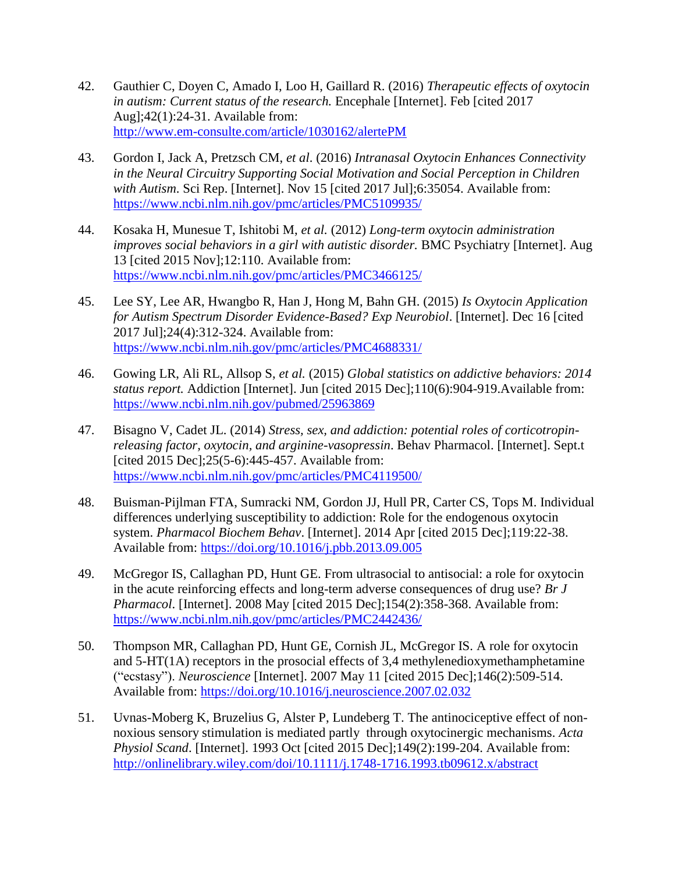- 42. Gauthier C, Doyen C, Amado I, Loo H, Gaillard R. (2016) *Therapeutic effects of oxytocin in autism: Current status of the research.* Encephale [Internet]. Feb [cited 2017 Aug];42(1):24-31. Available from: <http://www.em-consulte.com/article/1030162/alertePM>
- 43. Gordon I, Jack A, Pretzsch CM, *et al*. (2016) *Intranasal Oxytocin Enhances Connectivity in the Neural Circuitry Supporting Social Motivation and Social Perception in Children with Autism*. Sci Rep. [Internet]. Nov 15 [cited 2017 Jul];6:35054. Available from: <https://www.ncbi.nlm.nih.gov/pmc/articles/PMC5109935/>
- 44. Kosaka H, Munesue T, Ishitobi M, *et al.* (2012) *Long-term oxytocin administration improves social behaviors in a girl with autistic disorder.* BMC Psychiatry [Internet]. Aug 13 [cited 2015 Nov];12:110. Available from: <https://www.ncbi.nlm.nih.gov/pmc/articles/PMC3466125/>
- 45. Lee SY, Lee AR, Hwangbo R, Han J, Hong M, Bahn GH. (2015) *Is Oxytocin Application for Autism Spectrum Disorder Evidence-Based? Exp Neurobiol*. [Internet]. Dec 16 [cited 2017 Jul];24(4):312-324. Available from: <https://www.ncbi.nlm.nih.gov/pmc/articles/PMC4688331/>
- 46. Gowing LR, Ali RL, Allsop S, *et al.* (2015) *Global statistics on addictive behaviors: 2014 status report.* Addiction [Internet]. Jun [cited 2015 Dec];110(6):904-919.Available from: <https://www.ncbi.nlm.nih.gov/pubmed/25963869>
- 47. Bisagno V, Cadet JL. (2014) *Stress, sex, and addiction: potential roles of corticotropinreleasing factor, oxytocin, and arginine-vasopressin*. Behav Pharmacol. [Internet]. Sept.t [cited 2015 Dec]; 25(5-6): 445-457. Available from: <https://www.ncbi.nlm.nih.gov/pmc/articles/PMC4119500/>
- 48. Buisman-Pijlman FTA, Sumracki NM, Gordon JJ, Hull PR, Carter CS, Tops M. Individual differences underlying susceptibility to addiction: Role for the endogenous oxytocin system. *Pharmacol Biochem Behav*. [Internet]. 2014 Apr [cited 2015 Dec];119:22-38. Available from:<https://doi.org/10.1016/j.pbb.2013.09.005>
- 49. McGregor IS, Callaghan PD, Hunt GE. From ultrasocial to antisocial: a role for oxytocin in the acute reinforcing effects and long-term adverse consequences of drug use? *Br J Pharmacol*. [Internet]. 2008 May [cited 2015 Dec];154(2):358-368. Available from: <https://www.ncbi.nlm.nih.gov/pmc/articles/PMC2442436/>
- 50. Thompson MR, Callaghan PD, Hunt GE, Cornish JL, McGregor IS. A role for oxytocin and 5-HT(1A) receptors in the prosocial effects of 3,4 methylenedioxymethamphetamine ("ecstasy"). *Neuroscience* [Internet]. 2007 May 11 [cited 2015 Dec];146(2):509-514. Available from:<https://doi.org/10.1016/j.neuroscience.2007.02.032>
- 51. Uvnas-Moberg K, Bruzelius G, Alster P, Lundeberg T. The antinociceptive effect of nonnoxious sensory stimulation is mediated partly through oxytocinergic mechanisms. *Acta Physiol Scand*. [Internet]. 1993 Oct [cited 2015 Dec];149(2):199-204. Available from: <http://onlinelibrary.wiley.com/doi/10.1111/j.1748-1716.1993.tb09612.x/abstract>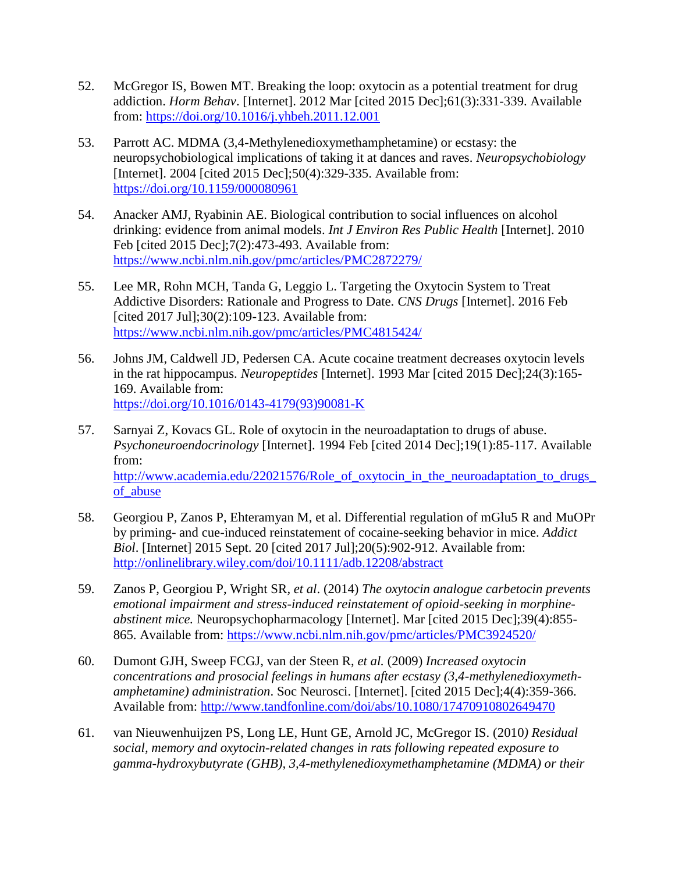- 52. McGregor IS, Bowen MT. Breaking the loop: oxytocin as a potential treatment for drug addiction. *Horm Behav*. [Internet]. 2012 Mar [cited 2015 Dec];61(3):331-339. Available from:<https://doi.org/10.1016/j.yhbeh.2011.12.001>
- 53. Parrott AC. MDMA (3,4-Methylenedioxymethamphetamine) or ecstasy: the neuropsychobiological implications of taking it at dances and raves. *Neuropsychobiology* [Internet]. 2004 [cited 2015 Dec];50(4):329-335. Available from: <https://doi.org/10.1159/000080961>
- 54. Anacker AMJ, Ryabinin AE. Biological contribution to social influences on alcohol drinking: evidence from animal models. *Int J Environ Res Public Health* [Internet]. 2010 Feb [cited 2015 Dec];7(2):473-493. Available from: <https://www.ncbi.nlm.nih.gov/pmc/articles/PMC2872279/>
- 55. Lee MR, Rohn MCH, Tanda G, Leggio L. Targeting the Oxytocin System to Treat Addictive Disorders: Rationale and Progress to Date. *CNS Drugs* [Internet]. 2016 Feb [cited 2017 Jul];30(2):109-123. Available from: <https://www.ncbi.nlm.nih.gov/pmc/articles/PMC4815424/>
- 56. Johns JM, Caldwell JD, Pedersen CA. Acute cocaine treatment decreases oxytocin levels in the rat hippocampus. *Neuropeptides* [Internet]. 1993 Mar [cited 2015 Dec];24(3):165- 169. Available from: [https://doi.org/10.1016/0143-4179\(93\)90081-K](https://doi.org/10.1016/0143-4179(93)90081-K)
- 57. Sarnyai Z, Kovacs GL. Role of oxytocin in the neuroadaptation to drugs of abuse. *Psychoneuroendocrinology* [Internet]. 1994 Feb [cited 2014 Dec];19(1):85-117. Available from: [http://www.academia.edu/22021576/Role\\_of\\_oxytocin\\_in\\_the\\_neuroadaptation\\_to\\_drugs\\_](http://www.academia.edu/22021576/Role_of_oxytocin_in_the_neuroadaptation_to_drugs_of_abuse) of abuse
- 58. Georgiou P, Zanos P, Ehteramyan M, et al. Differential regulation of mGlu5 R and MuOPr by priming- and cue-induced reinstatement of cocaine-seeking behavior in mice. *Addict Biol*. [Internet] 2015 Sept. 20 [cited 2017 Jul];20(5):902-912. Available from: <http://onlinelibrary.wiley.com/doi/10.1111/adb.12208/abstract>
- 59. Zanos P, Georgiou P, Wright SR*, et al*. (2014) *The oxytocin analogue carbetocin prevents emotional impairment and stress-induced reinstatement of opioid-seeking in morphineabstinent mice.* Neuropsychopharmacology [Internet]. Mar [cited 2015 Dec];39(4):855- 865. Available from:<https://www.ncbi.nlm.nih.gov/pmc/articles/PMC3924520/>
- 60. Dumont GJH, Sweep FCGJ, van der Steen R, *et al.* (2009) *Increased oxytocin concentrations and prosocial feelings in humans after ecstasy (3,4-methylenedioxymethamphetamine) administration*. Soc Neurosci. [Internet]. [cited 2015 Dec];4(4):359-366. Available from:<http://www.tandfonline.com/doi/abs/10.1080/17470910802649470>
- 61. van Nieuwenhuijzen PS, Long LE, Hunt GE, Arnold JC, McGregor IS. (2010*) Residual social, memory and oxytocin-related changes in rats following repeated exposure to gamma-hydroxybutyrate (GHB), 3,4-methylenedioxymethamphetamine (MDMA) or their*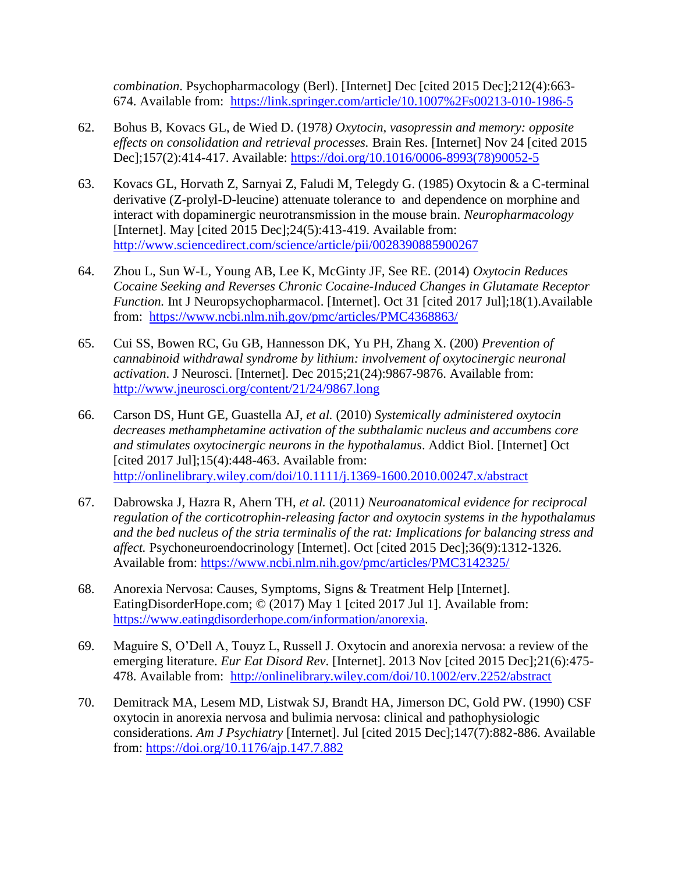*combination*. Psychopharmacology (Berl). [Internet] Dec [cited 2015 Dec];212(4):663- 674. Available from: <https://link.springer.com/article/10.1007%2Fs00213-010-1986-5>

- 62. Bohus B, Kovacs GL, de Wied D. (1978*) Oxytocin, vasopressin and memory: opposite effects on consolidation and retrieval processes.* Brain Res. [Internet] Nov 24 [cited 2015 Dec];157(2):414-417. Available: [https://doi.org/10.1016/0006-8993\(78\)90052-5](https://doi.org/10.1016/0006-8993(78)90052-5)
- 63. Kovacs GL, Horvath Z, Sarnyai Z, Faludi M, Telegdy G. (1985) Oxytocin & a C-terminal derivative (Z-prolyl-D-leucine) attenuate tolerance to and dependence on morphine and interact with dopaminergic neurotransmission in the mouse brain. *Neuropharmacology* [Internet]. May [cited 2015 Dec];24(5):413-419. Available from: <http://www.sciencedirect.com/science/article/pii/0028390885900267>
- 64. Zhou L, Sun W-L, Young AB, Lee K, McGinty JF, See RE. (2014) *Oxytocin Reduces Cocaine Seeking and Reverses Chronic Cocaine-Induced Changes in Glutamate Receptor Function.* Int J Neuropsychopharmacol. [Internet]. Oct 31 [cited 2017 Jul];18(1).Available from: <https://www.ncbi.nlm.nih.gov/pmc/articles/PMC4368863/>
- 65. Cui SS, Bowen RC, Gu GB, Hannesson DK, Yu PH, Zhang X. (200) *Prevention of cannabinoid withdrawal syndrome by lithium: involvement of oxytocinergic neuronal activation*. J Neurosci. [Internet]. Dec 2015;21(24):9867-9876. Available from: <http://www.jneurosci.org/content/21/24/9867.long>
- 66. Carson DS, Hunt GE, Guastella AJ, *et al.* (2010) *Systemically administered oxytocin decreases methamphetamine activation of the subthalamic nucleus and accumbens core and stimulates oxytocinergic neurons in the hypothalamus*. Addict Biol. [Internet] Oct [cited 2017 Jul];15(4):448-463. Available from: <http://onlinelibrary.wiley.com/doi/10.1111/j.1369-1600.2010.00247.x/abstract>
- 67. Dabrowska J, Hazra R, Ahern TH, *et al.* (2011*) Neuroanatomical evidence for reciprocal regulation of the corticotrophin-releasing factor and oxytocin systems in the hypothalamus and the bed nucleus of the stria terminalis of the rat: Implications for balancing stress and affect.* Psychoneuroendocrinology [Internet]. Oct [cited 2015 Dec];36(9):1312-1326. Available from:<https://www.ncbi.nlm.nih.gov/pmc/articles/PMC3142325/>
- 68. Anorexia Nervosa: Causes, Symptoms, Signs & Treatment Help [Internet]. EatingDisorderHope.com; © (2017) May 1 [cited 2017 Jul 1]. Available from: [https://www.eatingdisorderhope.com/information/anorexia.](https://www.eatingdisorderhope.com/information/anorexia)
- 69. Maguire S, O'Dell A, Touyz L, Russell J. Oxytocin and anorexia nervosa: a review of the emerging literature. *Eur Eat Disord Rev*. [Internet]. 2013 Nov [cited 2015 Dec];21(6):475- 478. Available from: <http://onlinelibrary.wiley.com/doi/10.1002/erv.2252/abstract>
- 70. Demitrack MA, Lesem MD, Listwak SJ, Brandt HA, Jimerson DC, Gold PW. (1990) CSF oxytocin in anorexia nervosa and bulimia nervosa: clinical and pathophysiologic considerations. *Am J Psychiatry* [Internet]. Jul [cited 2015 Dec];147(7):882-886. Available from:<https://doi.org/10.1176/ajp.147.7.882>